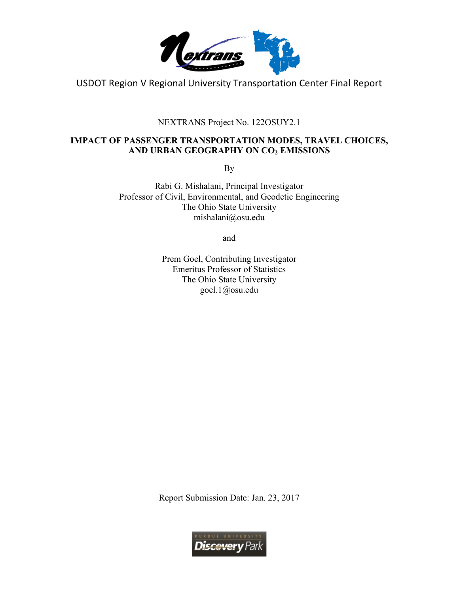

USDOT Region V Regional University Transportation Center Final Report

# NEXTRANS Project No. 122OSUY2.1

# **IMPACT OF PASSENGER TRANSPORTATION MODES, TRAVEL CHOICES, AND URBAN GEOGRAPHY ON CO2 EMISSIONS**

By

Rabi G. Mishalani, Principal Investigator Professor of Civil, Environmental, and Geodetic Engineering The Ohio State University mishalani@osu.edu

and

Prem Goel, Contributing Investigator Emeritus Professor of Statistics The Ohio State University goel.1@osu.edu

Report Submission Date: Jan. 23, 2017

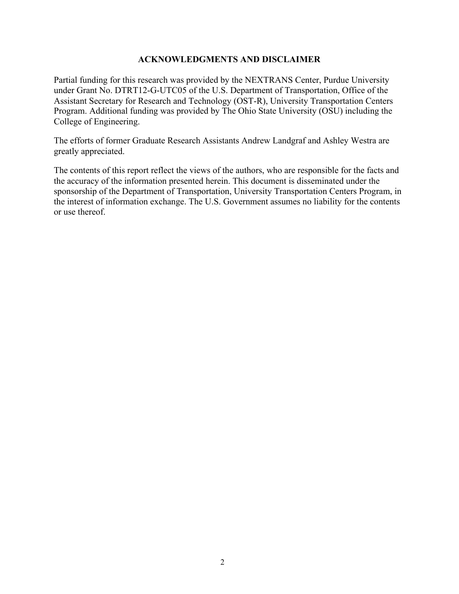### **ACKNOWLEDGMENTS AND DISCLAIMER**

Partial funding for this research was provided by the NEXTRANS Center, Purdue University under Grant No. DTRT12-G-UTC05 of the U.S. Department of Transportation, Office of the Assistant Secretary for Research and Technology (OST-R), University Transportation Centers Program. Additional funding was provided by The Ohio State University (OSU) including the College of Engineering.

The efforts of former Graduate Research Assistants Andrew Landgraf and Ashley Westra are greatly appreciated.

The contents of this report reflect the views of the authors, who are responsible for the facts and the accuracy of the information presented herein. This document is disseminated under the sponsorship of the Department of Transportation, University Transportation Centers Program, in the interest of information exchange. The U.S. Government assumes no liability for the contents or use thereof.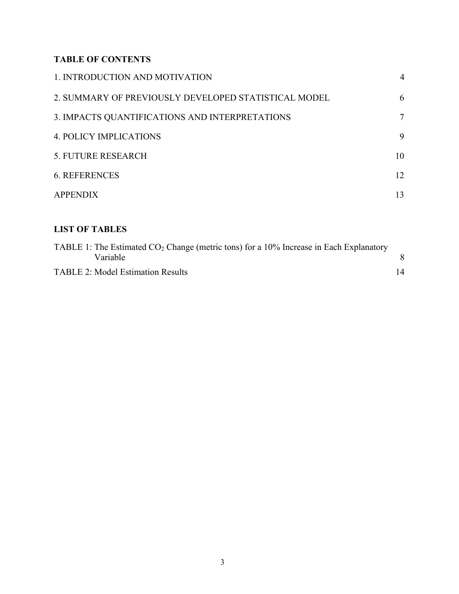# **TABLE OF CONTENTS**

| 1. INTRODUCTION AND MOTIVATION                       | $\overline{4}$ |
|------------------------------------------------------|----------------|
| 2. SUMMARY OF PREVIOUSLY DEVELOPED STATISTICAL MODEL | 6              |
| 3. IMPACTS QUANTIFICATIONS AND INTERPRETATIONS       | 7              |
| <b>4. POLICY IMPLICATIONS</b>                        | 9              |
| <b>5. FUTURE RESEARCH</b>                            | 10             |
| <b>6. REFERENCES</b>                                 | 12             |
| <b>APPENDIX</b>                                      | 13             |

# **LIST OF TABLES**

| TABLE 1: The Estimated $CO2$ Change (metric tons) for a 10% Increase in Each Explanatory |  |
|------------------------------------------------------------------------------------------|--|
| Variable                                                                                 |  |
| <b>TABLE 2: Model Estimation Results</b>                                                 |  |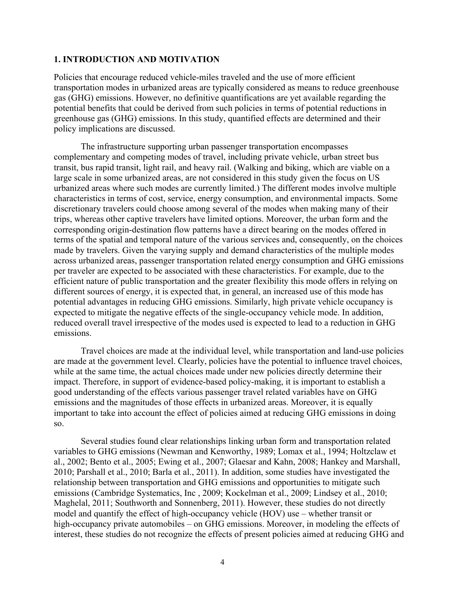### **1. INTRODUCTION AND MOTIVATION**

Policies that encourage reduced vehicle-miles traveled and the use of more efficient transportation modes in urbanized areas are typically considered as means to reduce greenhouse gas (GHG) emissions. However, no definitive quantifications are yet available regarding the potential benefits that could be derived from such policies in terms of potential reductions in greenhouse gas (GHG) emissions. In this study, quantified effects are determined and their policy implications are discussed.

The infrastructure supporting urban passenger transportation encompasses complementary and competing modes of travel, including private vehicle, urban street bus transit, bus rapid transit, light rail, and heavy rail. (Walking and biking, which are viable on a large scale in some urbanized areas, are not considered in this study given the focus on US urbanized areas where such modes are currently limited.) The different modes involve multiple characteristics in terms of cost, service, energy consumption, and environmental impacts. Some discretionary travelers could choose among several of the modes when making many of their trips, whereas other captive travelers have limited options. Moreover, the urban form and the corresponding origin-destination flow patterns have a direct bearing on the modes offered in terms of the spatial and temporal nature of the various services and, consequently, on the choices made by travelers. Given the varying supply and demand characteristics of the multiple modes across urbanized areas, passenger transportation related energy consumption and GHG emissions per traveler are expected to be associated with these characteristics. For example, due to the efficient nature of public transportation and the greater flexibility this mode offers in relying on different sources of energy, it is expected that, in general, an increased use of this mode has potential advantages in reducing GHG emissions. Similarly, high private vehicle occupancy is expected to mitigate the negative effects of the single-occupancy vehicle mode. In addition, reduced overall travel irrespective of the modes used is expected to lead to a reduction in GHG emissions.

Travel choices are made at the individual level, while transportation and land-use policies are made at the government level. Clearly, policies have the potential to influence travel choices, while at the same time, the actual choices made under new policies directly determine their impact. Therefore, in support of evidence-based policy-making, it is important to establish a good understanding of the effects various passenger travel related variables have on GHG emissions and the magnitudes of those effects in urbanized areas. Moreover, it is equally important to take into account the effect of policies aimed at reducing GHG emissions in doing so.

Several studies found clear relationships linking urban form and transportation related variables to GHG emissions (Newman and Kenworthy, 1989; Lomax et al., 1994; Holtzclaw et al., 2002; Bento et al., 2005; Ewing et al., 2007; Glaesar and Kahn, 2008; Hankey and Marshall, 2010; Parshall et al., 2010; Barla et al., 2011). In addition, some studies have investigated the relationship between transportation and GHG emissions and opportunities to mitigate such emissions (Cambridge Systematics, Inc , 2009; Kockelman et al., 2009; Lindsey et al., 2010; Maghelal, 2011; Southworth and Sonnenberg, 2011). However, these studies do not directly model and quantify the effect of high-occupancy vehicle (HOV) use – whether transit or high-occupancy private automobiles – on GHG emissions. Moreover, in modeling the effects of interest, these studies do not recognize the effects of present policies aimed at reducing GHG and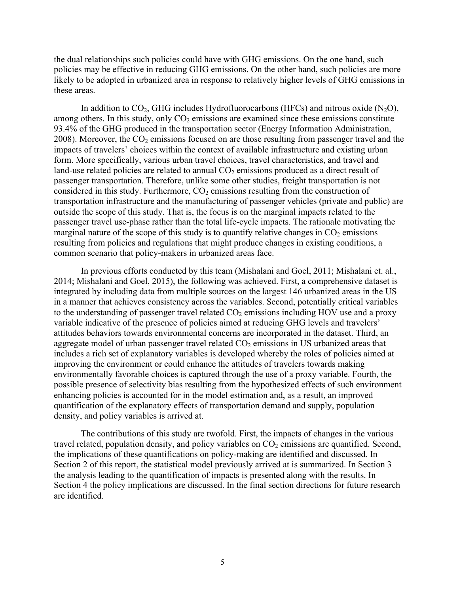the dual relationships such policies could have with GHG emissions. On the one hand, such policies may be effective in reducing GHG emissions. On the other hand, such policies are more likely to be adopted in urbanized area in response to relatively higher levels of GHG emissions in these areas.

In addition to  $CO_2$ , GHG includes Hydrofluorocarbons (HFCs) and nitrous oxide  $(N_2O)$ , among others. In this study, only  $CO<sub>2</sub>$  emissions are examined since these emissions constitute 93.4% of the GHG produced in the transportation sector (Energy Information Administration, 2008). Moreover, the  $CO<sub>2</sub>$  emissions focused on are those resulting from passenger travel and the impacts of travelers' choices within the context of available infrastructure and existing urban form. More specifically, various urban travel choices, travel characteristics, and travel and land-use related policies are related to annual  $CO<sub>2</sub>$  emissions produced as a direct result of passenger transportation. Therefore, unlike some other studies, freight transportation is not considered in this study. Furthermore,  $CO<sub>2</sub>$  emissions resulting from the construction of transportation infrastructure and the manufacturing of passenger vehicles (private and public) are outside the scope of this study. That is, the focus is on the marginal impacts related to the passenger travel use-phase rather than the total life-cycle impacts. The rationale motivating the marginal nature of the scope of this study is to quantify relative changes in  $CO<sub>2</sub>$  emissions resulting from policies and regulations that might produce changes in existing conditions, a common scenario that policy-makers in urbanized areas face.

In previous efforts conducted by this team (Mishalani and Goel, 2011; Mishalani et. al., 2014; Mishalani and Goel, 2015), the following was achieved. First, a comprehensive dataset is integrated by including data from multiple sources on the largest 146 urbanized areas in the US in a manner that achieves consistency across the variables. Second, potentially critical variables to the understanding of passenger travel related  $CO<sub>2</sub>$  emissions including HOV use and a proxy variable indicative of the presence of policies aimed at reducing GHG levels and travelers' attitudes behaviors towards environmental concerns are incorporated in the dataset. Third, an aggregate model of urban passenger travel related  $CO<sub>2</sub>$  emissions in US urbanized areas that includes a rich set of explanatory variables is developed whereby the roles of policies aimed at improving the environment or could enhance the attitudes of travelers towards making environmentally favorable choices is captured through the use of a proxy variable. Fourth, the possible presence of selectivity bias resulting from the hypothesized effects of such environment enhancing policies is accounted for in the model estimation and, as a result, an improved quantification of the explanatory effects of transportation demand and supply, population density, and policy variables is arrived at.

The contributions of this study are twofold. First, the impacts of changes in the various travel related, population density, and policy variables on  $CO<sub>2</sub>$  emissions are quantified. Second, the implications of these quantifications on policy-making are identified and discussed. In Section 2 of this report, the statistical model previously arrived at is summarized. In Section 3 the analysis leading to the quantification of impacts is presented along with the results. In Section 4 the policy implications are discussed. In the final section directions for future research are identified.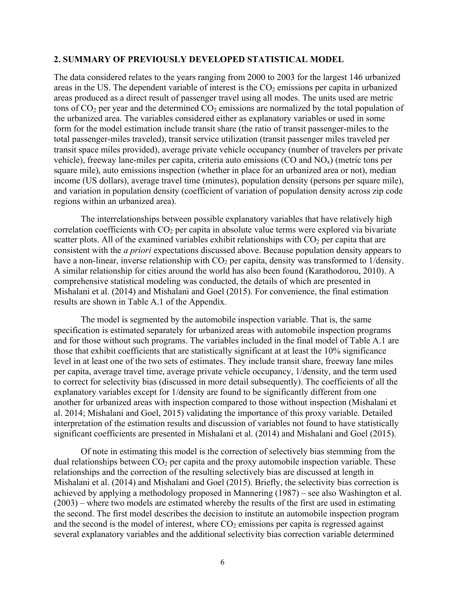#### **2. SUMMARY OF PREVIOUSLY DEVELOPED STATISTICAL MODEL**

The data considered relates to the years ranging from 2000 to 2003 for the largest 146 urbanized areas in the US. The dependent variable of interest is the  $CO<sub>2</sub>$  emissions per capita in urbanized areas produced as a direct result of passenger travel using all modes. The units used are metric tons of  $CO<sub>2</sub>$  per year and the determined  $CO<sub>2</sub>$  emissions are normalized by the total population of the urbanized area. The variables considered either as explanatory variables or used in some form for the model estimation include transit share (the ratio of transit passenger-miles to the total passenger-miles traveled), transit service utilization (transit passenger miles traveled per transit space miles provided), average private vehicle occupancy (number of travelers per private vehicle), freeway lane-miles per capita, criteria auto emissions (CO and NOx) (metric tons per square mile), auto emissions inspection (whether in place for an urbanized area or not), median income (US dollars), average travel time (minutes), population density (persons per square mile), and variation in population density (coefficient of variation of population density across zip code regions within an urbanized area).

The interrelationships between possible explanatory variables that have relatively high correlation coefficients with  $CO<sub>2</sub>$  per capita in absolute value terms were explored via bivariate scatter plots. All of the examined variables exhibit relationships with  $CO<sub>2</sub>$  per capita that are consistent with the *a priori* expectations discussed above. Because population density appears to have a non-linear, inverse relationship with  $CO<sub>2</sub>$  per capita, density was transformed to 1/density. A similar relationship for cities around the world has also been found (Karathodorou, 2010). A comprehensive statistical modeling was conducted, the details of which are presented in Mishalani et al. (2014) and Mishalani and Goel (2015). For convenience, the final estimation results are shown in Table A.1 of the Appendix.

The model is segmented by the automobile inspection variable. That is, the same specification is estimated separately for urbanized areas with automobile inspection programs and for those without such programs. The variables included in the final model of Table A.1 are those that exhibit coefficients that are statistically significant at at least the 10% significance level in at least one of the two sets of estimates. They include transit share, freeway lane miles per capita, average travel time, average private vehicle occupancy, 1/density, and the term used to correct for selectivity bias (discussed in more detail subsequently). The coefficients of all the explanatory variables except for 1/density are found to be significantly different from one another for urbanized areas with inspection compared to those without inspection (Mishalani et al. 2014; Mishalani and Goel, 2015) validating the importance of this proxy variable. Detailed interpretation of the estimation results and discussion of variables not found to have statistically significant coefficients are presented in Mishalani et al. (2014) and Mishalani and Goel (2015).

Of note in estimating this model is the correction of selectively bias stemming from the dual relationships between  $CO<sub>2</sub>$  per capita and the proxy automobile inspection variable. These relationships and the correction of the resulting selectively bias are discussed at length in Mishalani et al. (2014) and Mishalani and Goel (2015). Briefly, the selectivity bias correction is achieved by applying a methodology proposed in Mannering (1987) – see also Washington et al. (2003) – where two models are estimated whereby the results of the first are used in estimating the second. The first model describes the decision to institute an automobile inspection program and the second is the model of interest, where  $CO<sub>2</sub>$  emissions per capita is regressed against several explanatory variables and the additional selectivity bias correction variable determined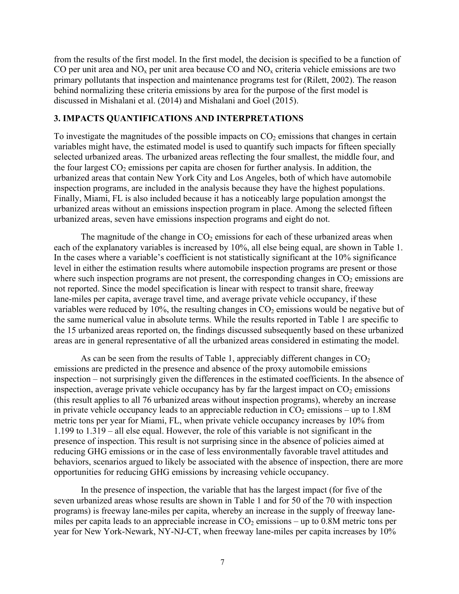from the results of the first model. In the first model, the decision is specified to be a function of CO per unit area and  $NO<sub>x</sub>$  per unit area because CO and  $NO<sub>x</sub>$  criteria vehicle emissions are two primary pollutants that inspection and maintenance programs test for (Rilett, 2002). The reason behind normalizing these criteria emissions by area for the purpose of the first model is discussed in Mishalani et al. (2014) and Mishalani and Goel (2015).

### **3. IMPACTS QUANTIFICATIONS AND INTERPRETATIONS**

To investigate the magnitudes of the possible impacts on  $CO<sub>2</sub>$  emissions that changes in certain variables might have, the estimated model is used to quantify such impacts for fifteen specially selected urbanized areas. The urbanized areas reflecting the four smallest, the middle four, and the four largest  $CO<sub>2</sub>$  emissions per capita are chosen for further analysis. In addition, the urbanized areas that contain New York City and Los Angeles, both of which have automobile inspection programs, are included in the analysis because they have the highest populations. Finally, Miami, FL is also included because it has a noticeably large population amongst the urbanized areas without an emissions inspection program in place. Among the selected fifteen urbanized areas, seven have emissions inspection programs and eight do not.

The magnitude of the change in  $CO<sub>2</sub>$  emissions for each of these urbanized areas when each of the explanatory variables is increased by 10%, all else being equal, are shown in Table 1. In the cases where a variable's coefficient is not statistically significant at the 10% significance level in either the estimation results where automobile inspection programs are present or those where such inspection programs are not present, the corresponding changes in  $CO<sub>2</sub>$  emissions are not reported. Since the model specification is linear with respect to transit share, freeway lane-miles per capita, average travel time, and average private vehicle occupancy, if these variables were reduced by 10%, the resulting changes in  $CO<sub>2</sub>$  emissions would be negative but of the same numerical value in absolute terms. While the results reported in Table 1 are specific to the 15 urbanized areas reported on, the findings discussed subsequently based on these urbanized areas are in general representative of all the urbanized areas considered in estimating the model.

As can be seen from the results of Table 1, appreciably different changes in  $CO<sub>2</sub>$ emissions are predicted in the presence and absence of the proxy automobile emissions inspection – not surprisingly given the differences in the estimated coefficients. In the absence of inspection, average private vehicle occupancy has by far the largest impact on  $CO<sub>2</sub>$  emissions (this result applies to all 76 urbanized areas without inspection programs), whereby an increase in private vehicle occupancy leads to an appreciable reduction in  $CO<sub>2</sub>$  emissions – up to 1.8M metric tons per year for Miami, FL, when private vehicle occupancy increases by 10% from 1.199 to 1.319 – all else equal. However, the role of this variable is not significant in the presence of inspection. This result is not surprising since in the absence of policies aimed at reducing GHG emissions or in the case of less environmentally favorable travel attitudes and behaviors, scenarios argued to likely be associated with the absence of inspection, there are more opportunities for reducing GHG emissions by increasing vehicle occupancy.

In the presence of inspection, the variable that has the largest impact (for five of the seven urbanized areas whose results are shown in Table 1 and for 50 of the 70 with inspection programs) is freeway lane-miles per capita, whereby an increase in the supply of freeway lanemiles per capita leads to an appreciable increase in  $CO<sub>2</sub>$  emissions – up to 0.8M metric tons per year for New York-Newark, NY-NJ-CT, when freeway lane-miles per capita increases by 10%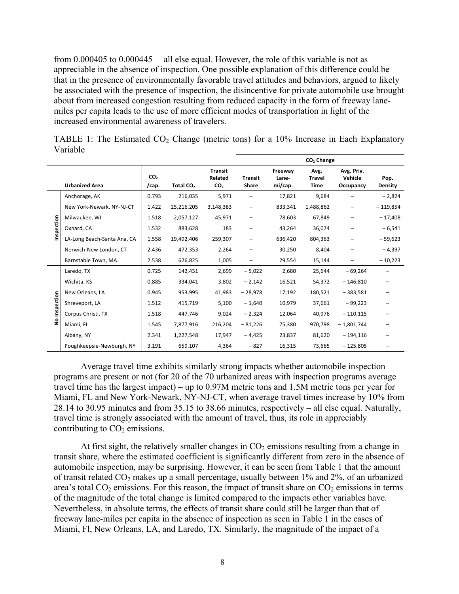from 0.000405 to 0.000445 – all else equal. However, the role of this variable is not as appreciable in the absence of inspection. One possible explanation of this difference could be that in the presence of environmentally favorable travel attitudes and behaviors, argued to likely be associated with the presence of inspection, the disincentive for private automobile use brought about from increased congestion resulting from reduced capacity in the form of freeway lanemiles per capita leads to the use of more efficient modes of transportation in light of the increased environmental awareness of travelers.

|          | TABLE 1: The Estimated $CO2$ Change (metric tons) for a 10% Increase in Each Explanatory |  |  |  |  |
|----------|------------------------------------------------------------------------------------------|--|--|--|--|
| Variable |                                                                                          |  |  |  |  |

|               |                             |                          |                       |                                              |                         |                             | CO <sub>2</sub> Change        |                                    |                 |
|---------------|-----------------------------|--------------------------|-----------------------|----------------------------------------------|-------------------------|-----------------------------|-------------------------------|------------------------------------|-----------------|
|               | <b>Urbanized Area</b>       | CO <sub>2</sub><br>/cap. | Total CO <sub>2</sub> | <b>Transit</b><br>Related<br>CO <sub>2</sub> | <b>Transit</b><br>Share | Freeway<br>Lane-<br>mi/cap. | Avg.<br><b>Travel</b><br>Time | Avg. Priv.<br>Vehicle<br>Occupancy | Pop.<br>Density |
|               | Anchorage, AK               | 0.793                    | 216,035               | 5,971                                        |                         | 17,821                      | 9,684                         |                                    | $-2,824$        |
|               | New York-Newark, NY-NJ-CT   | 1.422                    | 25,216,205            | 3,148,383                                    | $\qquad \qquad -$       | 833,341                     | 1,488,862                     |                                    | $-119,854$      |
|               | Milwaukee, WI               | 1.518                    | 2,057,127             | 45,971                                       | $\qquad \qquad -$       | 78,603                      | 67,849                        |                                    | $-17,408$       |
| Inspection    | Oxnard, CA                  | 1.532                    | 883,628               | 183                                          |                         | 43,264                      | 36,074                        |                                    | $-6,541$        |
|               | LA-Long Beach-Santa Ana, CA | 1.558                    | 19,492,406            | 259,307                                      | -                       | 636,420                     | 804,363                       |                                    | $-59,623$       |
|               | Norwich-New London, CT      | 2.436                    | 472,353               | 2,264                                        | $\qquad \qquad -$       | 30,250                      | 8,404                         |                                    | $-4,397$        |
|               | Barnstable Town, MA         | 2.538                    | 626,825               | 1,005                                        |                         | 29,554                      | 15,144                        |                                    | $-10,223$       |
|               | Laredo, TX                  | 0.725                    | 142,431               | 2,699                                        | $-5,022$                | 2,680                       | 25,644                        | $-69,264$                          |                 |
|               | Wichita, KS                 | 0.885                    | 334,041               | 3,802                                        | $-2,142$                | 16,521                      | 54,372                        | $-146,810$                         |                 |
|               | New Orleans, LA             | 0.945                    | 953,995               | 41,983                                       | $-28,978$               | 17,192                      | 180,521                       | $-383,581$                         |                 |
| No Inspection | Shreveport, LA              | 1.512                    | 415,719               | 5,100                                        | $-1,640$                | 10,979                      | 37,661                        | $-99,223$                          |                 |
|               | Corpus Christi, TX          | 1.518                    | 447,746               | 9,024                                        | $-2,324$                | 12,064                      | 40,976                        | $-110,115$                         |                 |
|               | Miami, FL                   | 1.545                    | 7,877,916             | 216,204                                      | $-81,226$               | 75,380                      | 970,798                       | $-1,801,744$                       |                 |
|               | Albany, NY                  | 2.341                    | 1,227,548             | 17,947                                       | $-4,425$                | 23,837                      | 81,620                        | $-194,116$                         |                 |
|               | Poughkeepsie-Newburgh, NY   | 3.191                    | 659,107               | 4,364                                        | $-827$                  | 16,315                      | 73,665                        | $-125,805$                         |                 |

Average travel time exhibits similarly strong impacts whether automobile inspection programs are present or not (for 20 of the 70 urbanized areas with inspection programs average travel time has the largest impact) – up to 0.97M metric tons and 1.5M metric tons per year for Miami, FL and New York-Newark, NY-NJ-CT, when average travel times increase by 10% from 28.14 to 30.95 minutes and from 35.15 to 38.66 minutes, respectively – all else equal. Naturally, travel time is strongly associated with the amount of travel, thus, its role in appreciably contributing to  $CO<sub>2</sub>$  emissions.

At first sight, the relatively smaller changes in  $CO<sub>2</sub>$  emissions resulting from a change in transit share, where the estimated coefficient is significantly different from zero in the absence of automobile inspection, may be surprising. However, it can be seen from Table 1 that the amount of transit related  $CO_2$  makes up a small percentage, usually between 1% and 2%, of an urbanized area's total  $CO<sub>2</sub>$  emissions. For this reason, the impact of transit share on  $CO<sub>2</sub>$  emissions in terms of the magnitude of the total change is limited compared to the impacts other variables have. Nevertheless, in absolute terms, the effects of transit share could still be larger than that of freeway lane-miles per capita in the absence of inspection as seen in Table 1 in the cases of Miami, Fl, New Orleans, LA, and Laredo, TX. Similarly, the magnitude of the impact of a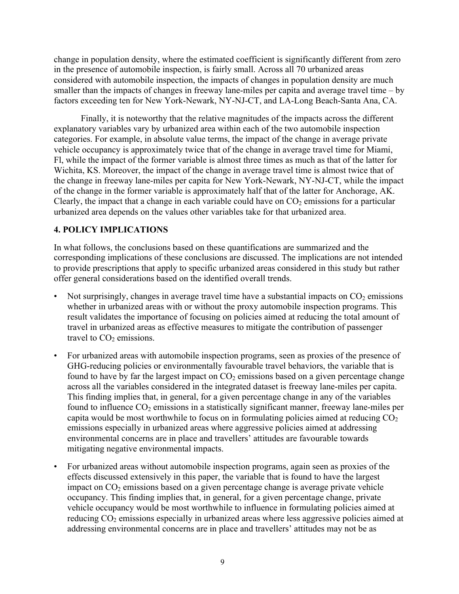change in population density, where the estimated coefficient is significantly different from zero in the presence of automobile inspection, is fairly small. Across all 70 urbanized areas considered with automobile inspection, the impacts of changes in population density are much smaller than the impacts of changes in freeway lane-miles per capita and average travel time – by factors exceeding ten for New York-Newark, NY-NJ-CT, and LA-Long Beach-Santa Ana, CA.

Finally, it is noteworthy that the relative magnitudes of the impacts across the different explanatory variables vary by urbanized area within each of the two automobile inspection categories. For example, in absolute value terms, the impact of the change in average private vehicle occupancy is approximately twice that of the change in average travel time for Miami, Fl, while the impact of the former variable is almost three times as much as that of the latter for Wichita, KS. Moreover, the impact of the change in average travel time is almost twice that of the change in freeway lane-miles per capita for New York-Newark, NY-NJ-CT, while the impact of the change in the former variable is approximately half that of the latter for Anchorage, AK. Clearly, the impact that a change in each variable could have on  $CO<sub>2</sub>$  emissions for a particular urbanized area depends on the values other variables take for that urbanized area.

# **4. POLICY IMPLICATIONS**

In what follows, the conclusions based on these quantifications are summarized and the corresponding implications of these conclusions are discussed. The implications are not intended to provide prescriptions that apply to specific urbanized areas considered in this study but rather offer general considerations based on the identified overall trends.

- Not surprisingly, changes in average travel time have a substantial impacts on  $CO<sub>2</sub>$  emissions whether in urbanized areas with or without the proxy automobile inspection programs. This result validates the importance of focusing on policies aimed at reducing the total amount of travel in urbanized areas as effective measures to mitigate the contribution of passenger travel to  $CO<sub>2</sub>$  emissions.
- For urbanized areas with automobile inspection programs, seen as proxies of the presence of GHG-reducing policies or environmentally favourable travel behaviors, the variable that is found to have by far the largest impact on  $CO<sub>2</sub>$  emissions based on a given percentage change across all the variables considered in the integrated dataset is freeway lane-miles per capita. This finding implies that, in general, for a given percentage change in any of the variables found to influence  $CO_2$  emissions in a statistically significant manner, freeway lane-miles per capita would be most worthwhile to focus on in formulating policies aimed at reducing  $CO<sub>2</sub>$ emissions especially in urbanized areas where aggressive policies aimed at addressing environmental concerns are in place and travellers' attitudes are favourable towards mitigating negative environmental impacts.
- For urbanized areas without automobile inspection programs, again seen as proxies of the effects discussed extensively in this paper, the variable that is found to have the largest impact on  $CO<sub>2</sub>$  emissions based on a given percentage change is average private vehicle occupancy. This finding implies that, in general, for a given percentage change, private vehicle occupancy would be most worthwhile to influence in formulating policies aimed at reducing  $CO<sub>2</sub>$  emissions especially in urbanized areas where less aggressive policies aimed at addressing environmental concerns are in place and travellers' attitudes may not be as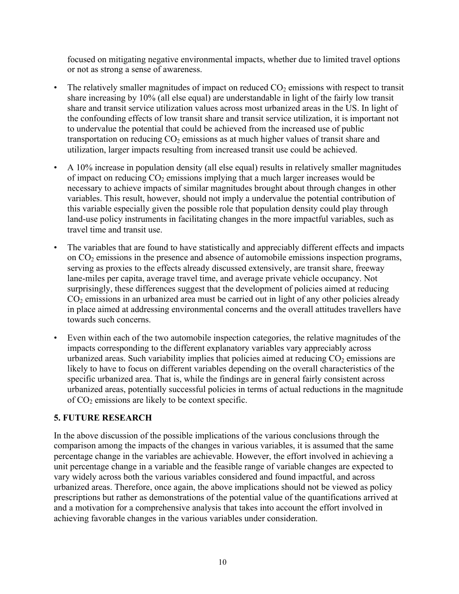focused on mitigating negative environmental impacts, whether due to limited travel options or not as strong a sense of awareness.

- The relatively smaller magnitudes of impact on reduced  $CO<sub>2</sub>$  emissions with respect to transit share increasing by 10% (all else equal) are understandable in light of the fairly low transit share and transit service utilization values across most urbanized areas in the US. In light of the confounding effects of low transit share and transit service utilization, it is important not to undervalue the potential that could be achieved from the increased use of public transportation on reducing  $CO<sub>2</sub>$  emissions as at much higher values of transit share and utilization, larger impacts resulting from increased transit use could be achieved.
- A 10% increase in population density (all else equal) results in relatively smaller magnitudes of impact on reducing  $CO<sub>2</sub>$  emissions implying that a much larger increases would be necessary to achieve impacts of similar magnitudes brought about through changes in other variables. This result, however, should not imply a undervalue the potential contribution of this variable especially given the possible role that population density could play through land-use policy instruments in facilitating changes in the more impactful variables, such as travel time and transit use.
- The variables that are found to have statistically and appreciably different effects and impacts on  $CO<sub>2</sub>$  emissions in the presence and absence of automobile emissions inspection programs, serving as proxies to the effects already discussed extensively, are transit share, freeway lane-miles per capita, average travel time, and average private vehicle occupancy. Not surprisingly, these differences suggest that the development of policies aimed at reducing  $CO<sub>2</sub>$  emissions in an urbanized area must be carried out in light of any other policies already in place aimed at addressing environmental concerns and the overall attitudes travellers have towards such concerns.
- Even within each of the two automobile inspection categories, the relative magnitudes of the impacts corresponding to the different explanatory variables vary appreciably across urbanized areas. Such variability implies that policies aimed at reducing  $CO<sub>2</sub>$  emissions are likely to have to focus on different variables depending on the overall characteristics of the specific urbanized area. That is, while the findings are in general fairly consistent across urbanized areas, potentially successful policies in terms of actual reductions in the magnitude of  $CO<sub>2</sub>$  emissions are likely to be context specific.

# **5. FUTURE RESEARCH**

In the above discussion of the possible implications of the various conclusions through the comparison among the impacts of the changes in various variables, it is assumed that the same percentage change in the variables are achievable. However, the effort involved in achieving a unit percentage change in a variable and the feasible range of variable changes are expected to vary widely across both the various variables considered and found impactful, and across urbanized areas. Therefore, once again, the above implications should not be viewed as policy prescriptions but rather as demonstrations of the potential value of the quantifications arrived at and a motivation for a comprehensive analysis that takes into account the effort involved in achieving favorable changes in the various variables under consideration.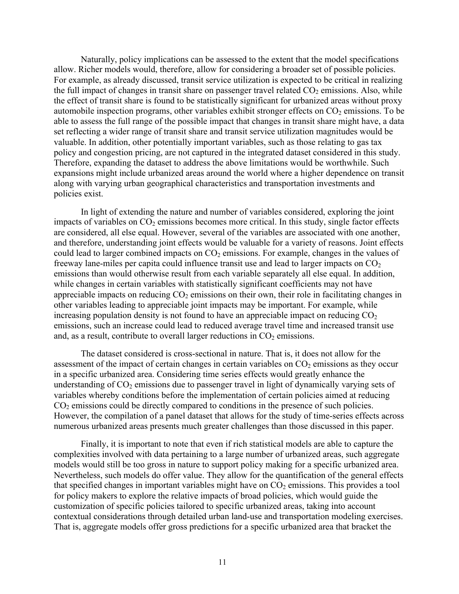Naturally, policy implications can be assessed to the extent that the model specifications allow. Richer models would, therefore, allow for considering a broader set of possible policies. For example, as already discussed, transit service utilization is expected to be critical in realizing the full impact of changes in transit share on passenger travel related  $CO<sub>2</sub>$  emissions. Also, while the effect of transit share is found to be statistically significant for urbanized areas without proxy automobile inspection programs, other variables exhibit stronger effects on  $CO<sub>2</sub>$  emissions. To be able to assess the full range of the possible impact that changes in transit share might have, a data set reflecting a wider range of transit share and transit service utilization magnitudes would be valuable. In addition, other potentially important variables, such as those relating to gas tax policy and congestion pricing, are not captured in the integrated dataset considered in this study. Therefore, expanding the dataset to address the above limitations would be worthwhile. Such expansions might include urbanized areas around the world where a higher dependence on transit along with varying urban geographical characteristics and transportation investments and policies exist.

In light of extending the nature and number of variables considered, exploring the joint impacts of variables on  $CO<sub>2</sub>$  emissions becomes more critical. In this study, single factor effects are considered, all else equal. However, several of the variables are associated with one another, and therefore, understanding joint effects would be valuable for a variety of reasons. Joint effects could lead to larger combined impacts on  $CO<sub>2</sub>$  emissions. For example, changes in the values of freeway lane-miles per capita could influence transit use and lead to larger impacts on  $CO<sub>2</sub>$ emissions than would otherwise result from each variable separately all else equal. In addition, while changes in certain variables with statistically significant coefficients may not have appreciable impacts on reducing  $CO<sub>2</sub>$  emissions on their own, their role in facilitating changes in other variables leading to appreciable joint impacts may be important. For example, while increasing population density is not found to have an appreciable impact on reducing  $CO<sub>2</sub>$ emissions, such an increase could lead to reduced average travel time and increased transit use and, as a result, contribute to overall larger reductions in  $CO<sub>2</sub>$  emissions.

The dataset considered is cross-sectional in nature. That is, it does not allow for the assessment of the impact of certain changes in certain variables on  $CO<sub>2</sub>$  emissions as they occur in a specific urbanized area. Considering time series effects would greatly enhance the understanding of  $CO<sub>2</sub>$  emissions due to passenger travel in light of dynamically varying sets of variables whereby conditions before the implementation of certain policies aimed at reducing  $CO<sub>2</sub>$  emissions could be directly compared to conditions in the presence of such policies. However, the compilation of a panel dataset that allows for the study of time-series effects across numerous urbanized areas presents much greater challenges than those discussed in this paper.

Finally, it is important to note that even if rich statistical models are able to capture the complexities involved with data pertaining to a large number of urbanized areas, such aggregate models would still be too gross in nature to support policy making for a specific urbanized area. Nevertheless, such models do offer value. They allow for the quantification of the general effects that specified changes in important variables might have on  $CO<sub>2</sub>$  emissions. This provides a tool for policy makers to explore the relative impacts of broad policies, which would guide the customization of specific policies tailored to specific urbanized areas, taking into account contextual considerations through detailed urban land-use and transportation modeling exercises. That is, aggregate models offer gross predictions for a specific urbanized area that bracket the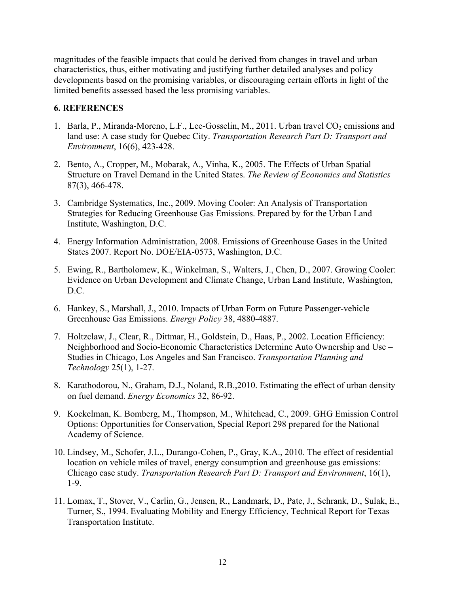magnitudes of the feasible impacts that could be derived from changes in travel and urban characteristics, thus, either motivating and justifying further detailed analyses and policy developments based on the promising variables, or discouraging certain efforts in light of the limited benefits assessed based the less promising variables.

## **6. REFERENCES**

- 1. Barla, P., Miranda-Moreno, L.F., Lee-Gosselin, M., 2011. Urban travel CO<sub>2</sub> emissions and land use: A case study for Quebec City. *Transportation Research Part D: Transport and Environment*, 16(6), 423-428.
- 2. Bento, A., Cropper, M., Mobarak, A., Vinha, K., 2005. The Effects of Urban Spatial Structure on Travel Demand in the United States. *The Review of Economics and Statistics* 87(3), 466-478.
- 3. Cambridge Systematics, Inc., 2009. Moving Cooler: An Analysis of Transportation Strategies for Reducing Greenhouse Gas Emissions. Prepared by for the Urban Land Institute, Washington, D.C.
- 4. Energy Information Administration, 2008. Emissions of Greenhouse Gases in the United States 2007. Report No. DOE/EIA-0573, Washington, D.C.
- 5. Ewing, R., Bartholomew, K., Winkelman, S., Walters, J., Chen, D., 2007. Growing Cooler: Evidence on Urban Development and Climate Change, Urban Land Institute, Washington, D.C.
- 6. Hankey, S., Marshall, J., 2010. Impacts of Urban Form on Future Passenger-vehicle Greenhouse Gas Emissions. *Energy Policy* 38, 4880-4887.
- 7. Holtzclaw, J., Clear, R., Dittmar, H., Goldstein, D., Haas, P., 2002. Location Efficiency: Neighborhood and Socio-Economic Characteristics Determine Auto Ownership and Use – Studies in Chicago, Los Angeles and San Francisco. *Transportation Planning and Technology* 25(1), 1-27.
- 8. Karathodorou, N., Graham, D.J., Noland, R.B.,2010. Estimating the effect of urban density on fuel demand. *Energy Economics* 32, 86-92.
- 9. Kockelman, K. Bomberg, M., Thompson, M., Whitehead, C., 2009. GHG Emission Control Options: Opportunities for Conservation, Special Report 298 prepared for the National Academy of Science.
- 10. Lindsey, M., Schofer, J.L., Durango-Cohen, P., Gray, K.A., 2010. The effect of residential location on vehicle miles of travel, energy consumption and greenhouse gas emissions: Chicago case study. *Transportation Research Part D: Transport and Environment*, 16(1), 1-9.
- 11. Lomax, T., Stover, V., Carlin, G., Jensen, R., Landmark, D., Pate, J., Schrank, D., Sulak, E., Turner, S., 1994. Evaluating Mobility and Energy Efficiency, Technical Report for Texas Transportation Institute.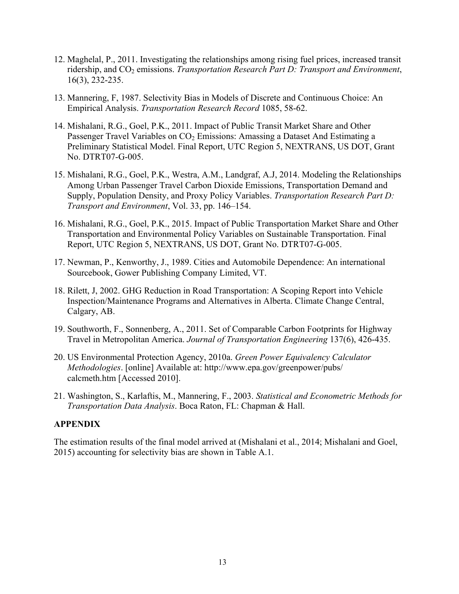- 12. Maghelal, P., 2011. Investigating the relationships among rising fuel prices, increased transit ridership, and CO<sub>2</sub> emissions. *Transportation Research Part D: Transport and Environment*, 16(3), 232-235.
- 13. Mannering, F, 1987. Selectivity Bias in Models of Discrete and Continuous Choice: An Empirical Analysis. *Transportation Research Record* 1085, 58-62.
- 14. Mishalani, R.G., Goel, P.K., 2011. Impact of Public Transit Market Share and Other Passenger Travel Variables on  $CO<sub>2</sub>$  Emissions: Amassing a Dataset And Estimating a Preliminary Statistical Model. Final Report, UTC Region 5, NEXTRANS, US DOT, Grant No. DTRT07-G-005.
- 15. Mishalani, R.G., Goel, P.K., Westra, A.M., Landgraf, A.J, 2014. Modeling the Relationships Among Urban Passenger Travel Carbon Dioxide Emissions, Transportation Demand and Supply, Population Density, and Proxy Policy Variables. *Transportation Research Part D: Transport and Environment*, Vol. 33, pp. 146–154.
- 16. Mishalani, R.G., Goel, P.K., 2015. Impact of Public Transportation Market Share and Other Transportation and Environmental Policy Variables on Sustainable Transportation. Final Report, UTC Region 5, NEXTRANS, US DOT, Grant No. DTRT07-G-005.
- 17. Newman, P., Kenworthy, J., 1989. Cities and Automobile Dependence: An international Sourcebook, Gower Publishing Company Limited, VT.
- 18. Rilett, J, 2002. GHG Reduction in Road Transportation: A Scoping Report into Vehicle Inspection/Maintenance Programs and Alternatives in Alberta. Climate Change Central, Calgary, AB.
- 19. Southworth, F., Sonnenberg, A., 2011. Set of Comparable Carbon Footprints for Highway Travel in Metropolitan America. *Journal of Transportation Engineering* 137(6), 426-435.
- 20. US Environmental Protection Agency, 2010a. *Green Power Equivalency Calculator Methodologies*. [online] Available at: http://www.epa.gov/greenpower/pubs/ calcmeth.htm [Accessed 2010].
- 21. Washington, S., Karlaftis, M., Mannering, F., 2003. *Statistical and Econometric Methods for Transportation Data Analysis*. Boca Raton, FL: Chapman & Hall.

### **APPENDIX**

The estimation results of the final model arrived at (Mishalani et al., 2014; Mishalani and Goel, 2015) accounting for selectivity bias are shown in Table A.1.